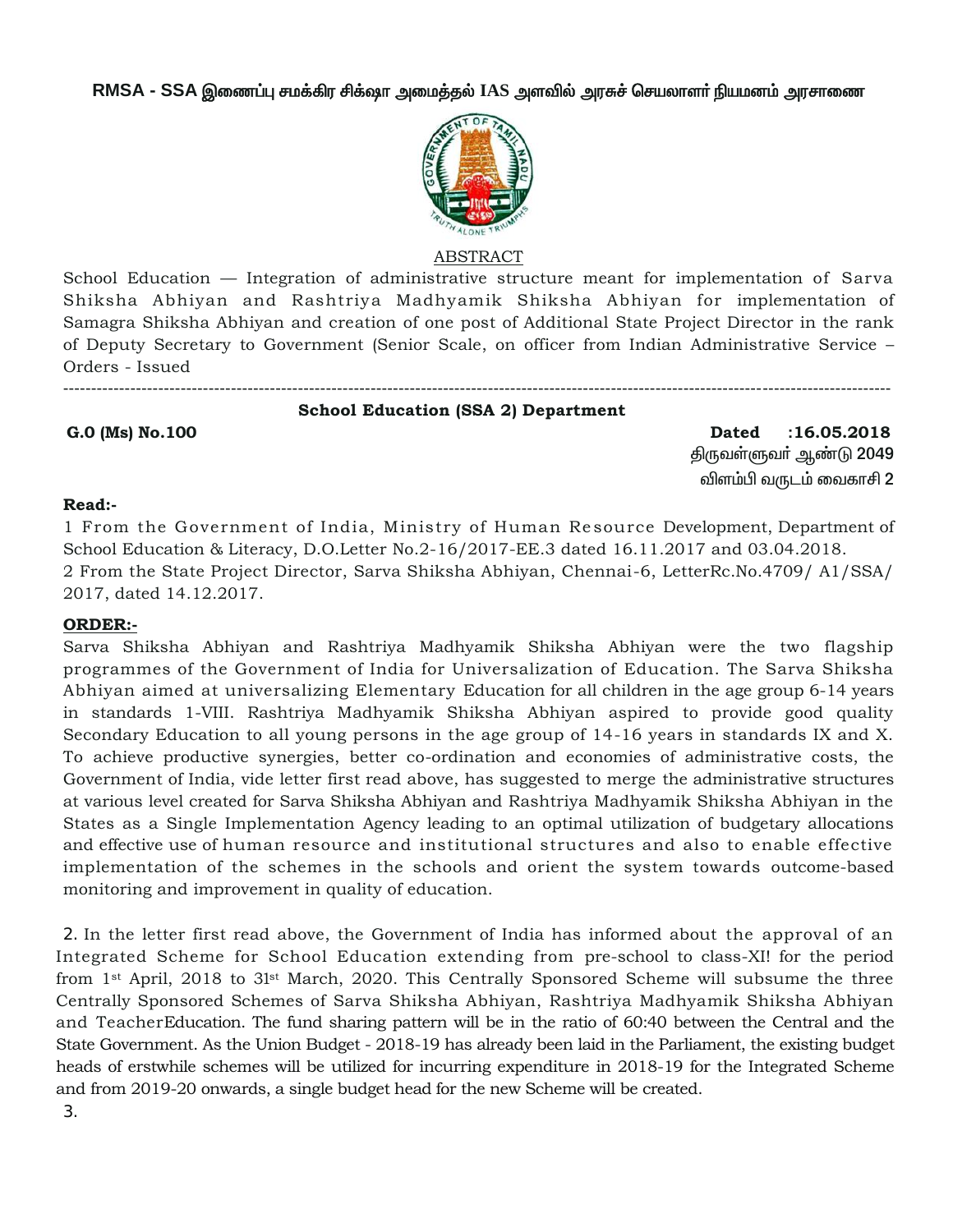RMSA - SSA இணைப்பு சமக்கிர சிக்ஷா அமைத்தல் IAS அளவில் அரசுச் செயலாளர் நியமனம் அரசாணை



### **ABSTRACT**

School Education — Integration of administrative structure meant for implementation of Sarva Shiksha Abhiyan and Rashtriya Madhyamik Shiksha Abhiyan for implementation of Samagra Shiksha Abhiyan and creation of one post of Additional State Project Director in the rank of Deputy Secretary to Government (Senior Scale, on officer from Indian Administrative Service – Orders - Issued

**School Education (SSA 2) Department** 

#### G.0 (Ms) No.100

 $:16.05.2018$ **Dated** திருவள்ளுவா் ஆண்டு 2049 விளம்பி வருடம் வைகாசி 2

#### Read:-

1 From the Government of India, Ministry of Human Resource Development, Department of School Education & Literacy, D.O.Letter No.2-16/2017-EE.3 dated 16.11.2017 and 03.04.2018. 2 From the State Project Director, Sarva Shiksha Abhiyan, Chennai-6, LetterRc.No.4709/ A1/SSA/ 2017, dated 14.12.2017.

## **ORDER:-**

Sarva Shiksha Abhiyan and Rashtriya Madhyamik Shiksha Abhiyan were the two flagship programmes of the Government of India for Universalization of Education. The Sarva Shiksha Abhiyan aimed at universalizing Elementary Education for all children in the age group 6-14 years in standards 1-VIII. Rashtriya Madhyamik Shiksha Abhiyan aspired to provide good quality Secondary Education to all young persons in the age group of 14-16 years in standards IX and X. To achieve productive synergies, better co-ordination and economies of administrative costs, the Government of India, vide letter first read above, has suggested to merge the administrative structures at various level created for Sarva Shiksha Abhiyan and Rashtriya Madhyamik Shiksha Abhiyan in the States as a Single Implementation Agency leading to an optimal utilization of budgetary allocations and effective use of human resource and institutional structures and also to enable effective implementation of the schemes in the schools and orient the system towards outcome-based monitoring and improvement in quality of education.

2. In the letter first read above, the Government of India has informed about the approval of an Integrated Scheme for School Education extending from pre-school to class-XI! for the period from 1<sup>st</sup> April, 2018 to 31<sup>st</sup> March, 2020. This Centrally Sponsored Scheme will subsume the three Centrally Sponsored Schemes of Sarva Shiksha Abhiyan, Rashtriya Madhyamik Shiksha Abhiyan and TeacherEducation. The fund sharing pattern will be in the ratio of 60.40 between the Central and the State Government. As the Union Budget - 2018-19 has already been laid in the Parliament, the existing budget heads of erstwhile schemes will be utilized for incurring expenditure in 2018-19 for the Integrated Scheme and from 2019-20 onwards, a single budget head for the new Scheme will be created.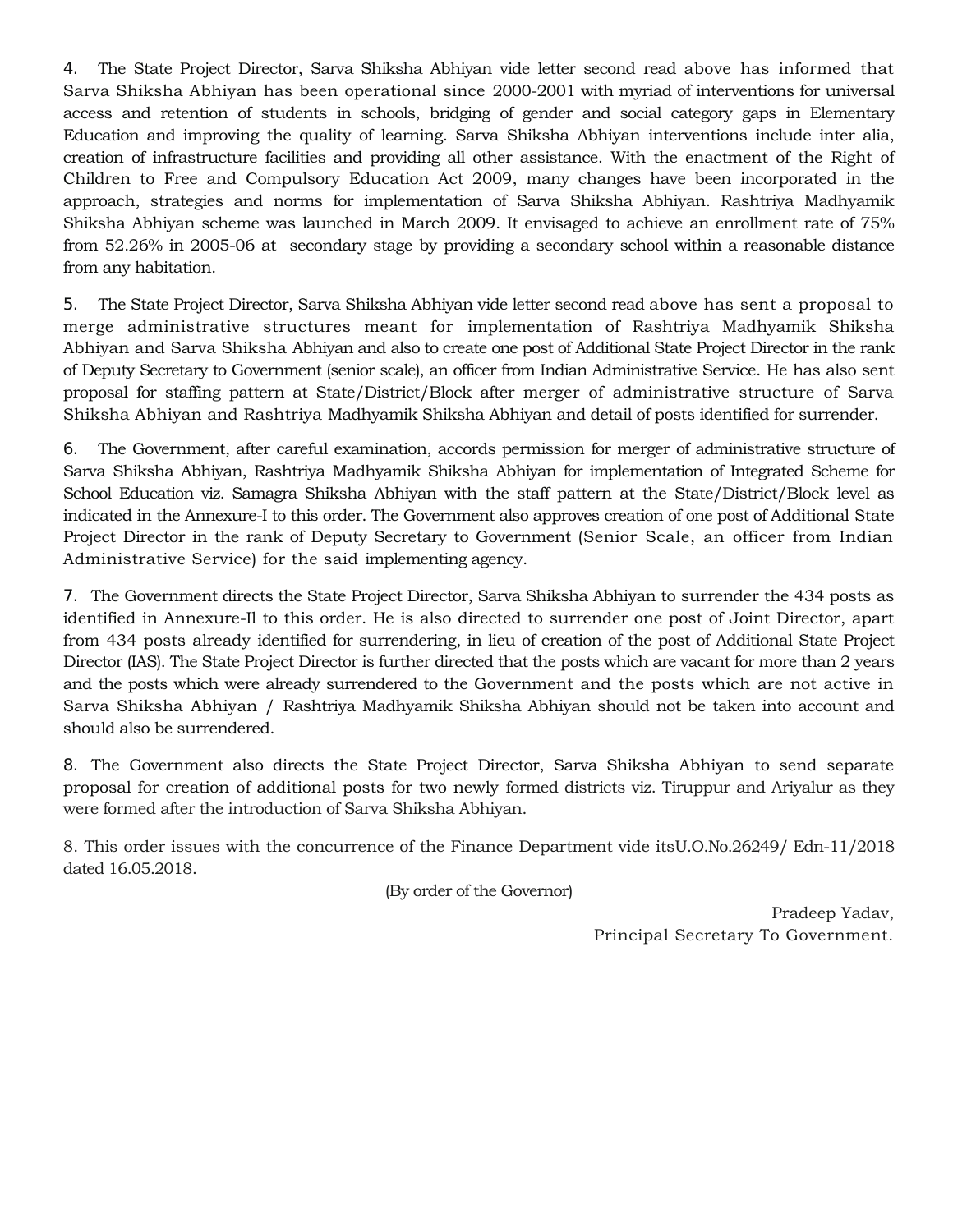4. The State Project Director, Sarva Shiksha Abhiyan vide letter second read above has informed that Sarva Shiksha Abhiyan has been operational since 2000-2001 with myriad of interventions for universal access and retention of students in schools, bridging of gender and social category gaps in Elementary Education and improving the quality of learning. Sarva Shiksha Abhiyan interventions include inter alia, creation of infrastructure facilities and providing all other assistance. With the enactment of the Right of Children to Free and Compulsory Education Act 2009, many changes have been incorporated in the approach, strategies and norms for implementation of Sarva Shiksha Abhiyan. Rashtriya Madhyamik Shiksha Abhiyan scheme was launched in March 2009. It envisaged to achieve an enrollment rate of 75% from 52.26% in 2005-06 at secondary stage by providing a secondary school within a reasonable distance from any habitation.

5. The State Project Director, Sarva Shiksha Abhiyan vide letter second read above has sent a proposal to merge administrative structures meant for implementation of Rashtriya Madhyamik Shiksha Abhiyan and Sarva Shiksha Abhiyan and also to create one post of Additional State Project Director in the rank of Deputy Secretary to Government (senior scale), an officer from Indian Administrative Service. He has also sent proposal for staffing pattern at State/District/Block after merger of administrative structure of Sarva Shiksha Abhiyan and Rashtriya Madhyamik Shiksha Abhiyan and detail of posts identified for surrender.

6. The Government, after careful examination, accords permission for merger of administrative structure of Sarva Shiksha Abhiyan, Rashtriya Madhyamik Shiksha Abhiyan for implementation of Integrated Scheme for School Education viz. Samagra Shiksha Abhiyan with the staff pattern at the State/District/Block level as indicated in the Annexure-I to this order. The Government also approves creation of one post of Additional State Project Director in the rank of Deputy Secretary to Government (Senior Scale, an officer from Indian Administrative Service) for the said implementing agency.

7. The Government directs the State Project Director, Sarva Shiksha Abhiyan to surrender the 434 posts as identified in Annexure-Il to this order. He is also directed to surrender one post of Joint Director, apart from 434 posts already identified for surrendering, in lieu of creation of the post of Additional State Project Director (IAS). The State Project Director is further directed that the posts which are vacant for more than 2 years and the posts which were already surrendered to the Government and the posts which are not active in Sarva Shiksha Abhiyan / Rashtriya Madhyamik Shiksha Abhiyan should not be taken into account and should also be surrendered.

8. The Government also directs the State Project Director, Sarva Shiksha Abhiyan to send separate proposal for creation of additional posts for two newly formed districts viz. Tiruppur and Ariyalur as they were formed after the introduction of Sarva Shiksha Abhiyan.

8. This order issues with the concurrence of the Finance Department vide itsU.O.No.26249/ Edn-11/2018 dated 16.05.2018.

(By order of the Governor)

Pradeep Yadav, Principal Secretary To Government.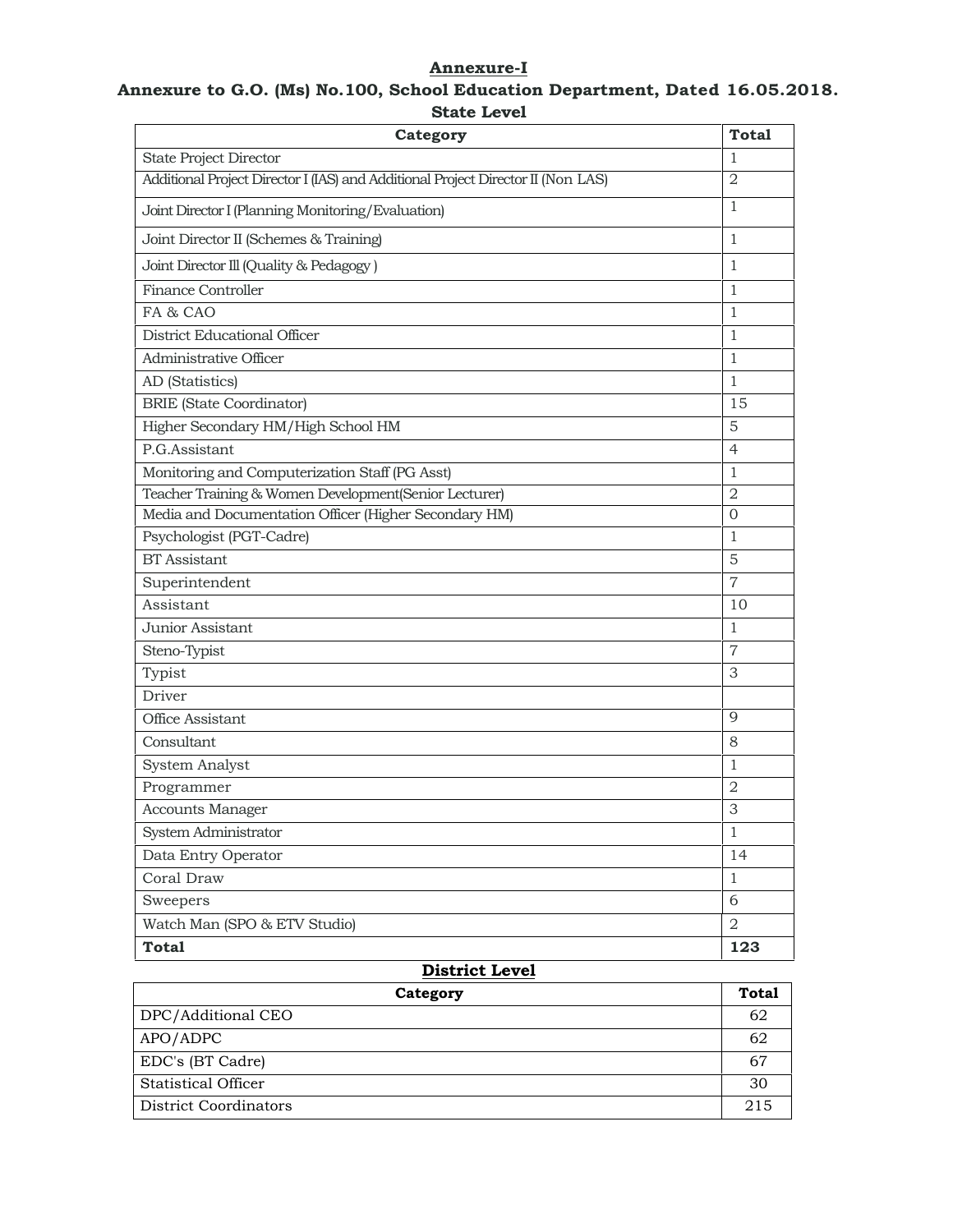# **Annexure-I**

### **Annexure to G.O. (Ms) No.100, School Education Department, Dated 16.05.2018. State Level**

| Category                                                                         | <b>Total</b>   |
|----------------------------------------------------------------------------------|----------------|
| <b>State Project Director</b>                                                    | 1              |
| Additional Project Director I (IAS) and Additional Project Director II (Non LAS) | $\overline{2}$ |
| Joint Director I (Planning Monitoring/Evaluation)                                | 1              |
| Joint Director II (Schemes & Training)                                           | 1              |
| Joint Director Ill (Quality & Pedagogy)                                          | 1              |
| <b>Finance Controller</b>                                                        | $\mathbf{1}$   |
| FA & CAO                                                                         | 1              |
| District Educational Officer                                                     | $\mathbf{1}$   |
| Administrative Officer                                                           | 1              |
| AD (Statistics)                                                                  | $\mathbf{1}$   |
| <b>BRIE</b> (State Coordinator)                                                  | 15             |
| Higher Secondary HM/High School HM                                               | 5              |
| P.G.Assistant                                                                    | $\overline{4}$ |
| Monitoring and Computerization Staff (PG Asst)                                   | $\mathbf{1}$   |
| Teacher Training & Women Development(Senior Lecturer)                            | $\overline{2}$ |
| Media and Documentation Officer (Higher Secondary HM)                            | $\overline{0}$ |
| Psychologist (PGT-Cadre)                                                         | 1              |
| <b>BT</b> Assistant                                                              | 5              |
| Superintendent                                                                   | $\overline{7}$ |
| Assistant                                                                        | 10             |
| Junior Assistant                                                                 | $\mathbf{1}$   |
| Steno-Typist                                                                     | $\overline{7}$ |
| Typist                                                                           | 3              |
| Driver                                                                           |                |
| Office Assistant                                                                 | 9              |
| Consultant                                                                       | 8              |
| System Analyst                                                                   | 1              |
| Programmer                                                                       | $\overline{2}$ |
| <b>Accounts Manager</b>                                                          | 3              |
| System Administrator                                                             | $\mathbf{1}$   |
| Data Entry Operator                                                              | 14             |
| Coral Draw                                                                       | $\mathbf{1}$   |
| Sweepers                                                                         | 6              |
| Watch Man (SPO & ETV Studio)                                                     | 2              |
| <b>Total</b>                                                                     | 123            |

### **District Level**

| Category              | <b>Total</b> |
|-----------------------|--------------|
| DPC/Additional CEO    | 62           |
| APO/ADPC              | 62           |
| EDC's (BT Cadre)      | 67           |
| Statistical Officer   | 30           |
| District Coordinators | 215          |